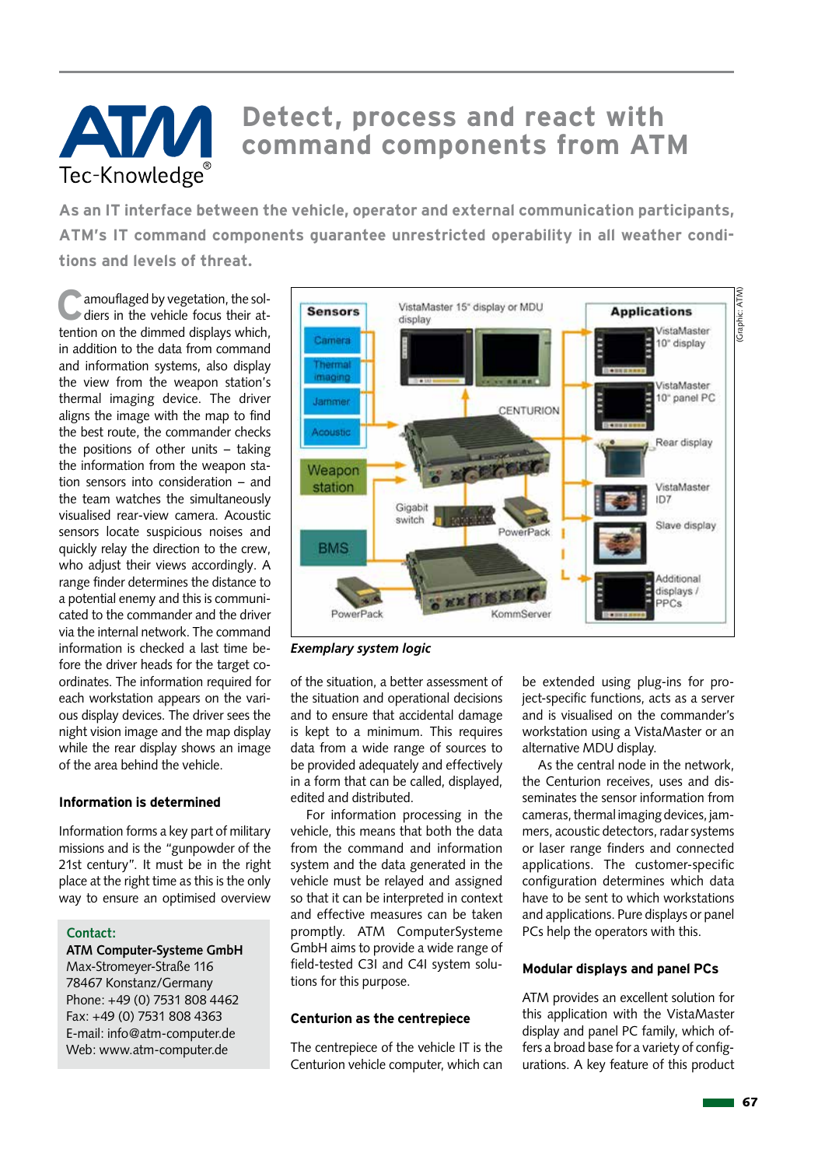# Tec-Knowledge

# **Detect, process and react with command components from ATM**

**As an IT interface between the vehicle, operator and external communication participants, ATM's IT command components guarantee unrestricted operability in all weather conditions and levels of threat.**

**C**amouflaged by vegetation, the soldiers in the vehicle focus their attention on the dimmed displays which, in addition to the data from command and information systems, also display the view from the weapon station's thermal imaging device. The driver aligns the image with the map to find the best route, the commander checks the positions of other units – taking the information from the weapon station sensors into consideration – and the team watches the simultaneously visualised rear-view camera. Acoustic sensors locate suspicious noises and quickly relay the direction to the crew, who adjust their views accordingly. A range finder determines the distance to a potential enemy and this is communicated to the commander and the driver via the internal network. The command information is checked a last time before the driver heads for the target coordinates. The information required for each workstation appears on the various display devices. The driver sees the night vision image and the map display while the rear display shows an image of the area behind the vehicle.

## **Information is determined**

Information forms a key part of military missions and is the "gunpowder of the 21st century". It must be in the right place at the right time as this is the only way to ensure an optimised overview

## **Contact:**

**ATM Computer-Systeme GmbH** Max-Stromeyer-Straße 116 78467 Konstanz/Germany Phone: +49 (0) 7531 808 4462 Fax: +49 (0) 7531 808 4363 E-mail: info@atm-computer.de Web: www.atm-computer.de



*Exemplary system logic*

of the situation, a better assessment of the situation and operational decisions and to ensure that accidental damage is kept to a minimum. This requires data from a wide range of sources to be provided adequately and effectively in a form that can be called, displayed, edited and distributed.

For information processing in the vehicle, this means that both the data from the command and information system and the data generated in the vehicle must be relayed and assigned so that it can be interpreted in context and effective measures can be taken promptly. ATM ComputerSysteme GmbH aims to provide a wide range of field-tested C3I and C4I system solutions for this purpose.

## **Centurion as the centrepiece**

The centrepiece of the vehicle IT is the Centurion vehicle computer, which can

be extended using plug-ins for project-specific functions, acts as a server and is visualised on the commander's workstation using a VistaMaster or an alternative MDU display.

As the central node in the network, the Centurion receives, uses and disseminates the sensor information from cameras, thermal imaging devices, jammers, acoustic detectors, radar systems or laser range finders and connected applications. The customer-specific configuration determines which data have to be sent to which workstations and applications. Pure displays or panel PCs help the operators with this.

## **Modular displays and panel PCs**

ATM provides an excellent solution for this application with the VistaMaster display and panel PC family, which offers a broad base for a variety of configurations. A key feature of this product